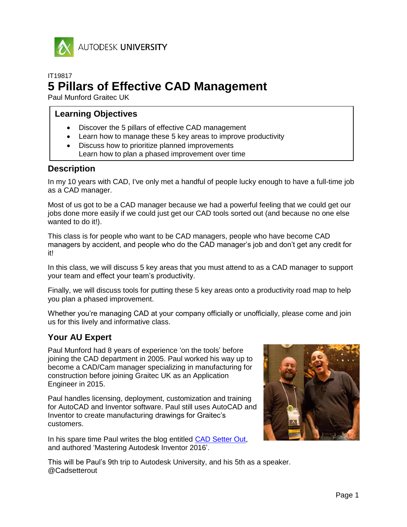

AUTODESK UNIVERSITY

# IT19817 **5 Pillars of Effective CAD Management**

Paul Munford Graitec UK

# **Learning Objectives**

- Discover the 5 pillars of effective CAD management
- Learn how to manage these 5 key areas to improve productivity
- Discuss how to prioritize planned improvements Learn how to plan a phased improvement over time

# **Description**

In my 10 years with CAD, I've only met a handful of people lucky enough to have a full-time job as a CAD manager.

Most of us got to be a CAD manager because we had a powerful feeling that we could get our jobs done more easily if we could just get our CAD tools sorted out (and because no one else wanted to do it!).

This class is for people who want to be CAD managers, people who have become CAD managers by accident, and people who do the CAD manager's job and don't get any credit for it!

In this class, we will discuss 5 key areas that you must attend to as a CAD manager to support your team and effect your team's productivity.

Finally, we will discuss tools for putting these 5 key areas onto a productivity road map to help you plan a phased improvement.

Whether you're managing CAD at your company officially or unofficially, please come and join us for this lively and informative class.

# **Your AU Expert**

Paul Munford had 8 years of experience 'on the tools' before joining the CAD department in 2005. Paul worked his way up to become a CAD/Cam manager specializing in manufacturing for construction before joining Graitec UK as an Application Engineer in 2015.

Paul handles licensing, deployment, customization and training for AutoCAD and Inventor software. Paul still uses AutoCAD and Inventor to create manufacturing drawings for Graitec's customers.

In his spare time Paul writes the blog entitled [CAD Setter Out,](http://cadsetterout.com/) and authored 'Mastering Autodesk Inventor 2016'.



This will be Paul's 9th trip to Autodesk University, and his 5th as a speaker. @Cadsetterout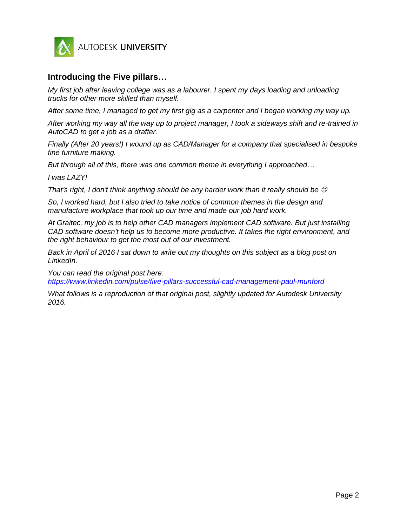

# **Introducing the Five pillars…**

*My first job after leaving college was as a labourer. I spent my days loading and unloading trucks for other more skilled than myself.*

*After some time, I managed to get my first gig as a carpenter and I began working my way up.*

*After working my way all the way up to project manager, I took a sideways shift and re-trained in AutoCAD to get a job as a drafter.* 

*Finally (After 20 years!) I wound up as CAD/Manager for a company that specialised in bespoke fine furniture making.*

*But through all of this, there was one common theme in everything I approached…*

*I was LAZY!*

*That's right, I don't think anything should be any harder work than it really should be* 

*So, I worked hard, but I also tried to take notice of common themes in the design and manufacture workplace that took up our time and made our job hard work.*

*At Graitec, my job is to help other CAD managers implement CAD software. But just installing CAD software doesn't help us to become more productive. It takes the right environment, and the right behaviour to get the most out of our investment.*

*Back in April of 2016 I sat down to write out my thoughts on this subject as a blog post on LinkedIn.*

*You can read the original post here: <https://www.linkedin.com/pulse/five-pillars-successful-cad-management-paul-munford>*

*What follows is a reproduction of that original post, slightly updated for Autodesk University 2016.*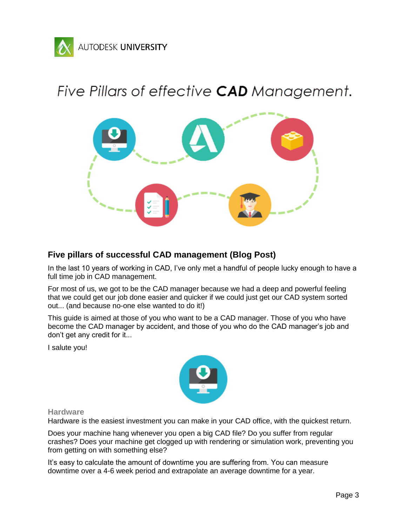

# Five Pillars of effective CAD Management.



# **Five pillars of successful CAD management (Blog Post)**

In the last 10 years of working in CAD, I've only met a handful of people lucky enough to have a full time job in CAD management.

For most of us, we got to be the CAD manager because we had a deep and powerful feeling that we could get our job done easier and quicker if we could just get our CAD system sorted out... (and because no-one else wanted to do it!)

This guide is aimed at those of you who want to be a CAD manager. Those of you who have become the CAD manager by accident, and those of you who do the CAD manager's job and don't get any credit for it...

I salute you!



## **Hardware**

Hardware is the easiest investment you can make in your CAD office, with the quickest return.

Does your machine hang whenever you open a big CAD file? Do you suffer from regular crashes? Does your machine get clogged up with rendering or simulation work, preventing you from getting on with something else?

It's easy to calculate the amount of downtime you are suffering from. You can measure downtime over a 4-6 week period and extrapolate an average downtime for a year.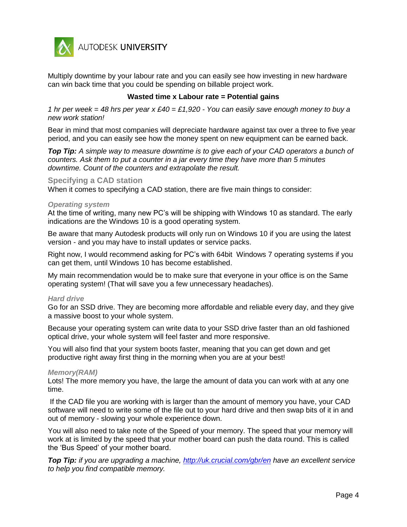

Multiply downtime by your labour rate and you can easily see how investing in new hardware can win back time that you could be spending on billable project work.

## **Wasted time x Labour rate = Potential gains**

*1 hr per week = 48 hrs per year x £40 = £1,920 - You can easily save enough money to buy a new work station!*

Bear in mind that most companies will depreciate hardware against tax over a three to five year period, and you can easily see how the money spent on new equipment can be earned back.

*Top Tip: A simple way to measure downtime is to give each of your CAD operators a bunch of counters. Ask them to put a counter in a jar every time they have more than 5 minutes downtime. Count of the counters and extrapolate the result.*

## **Specifying a CAD station**

When it comes to specifying a CAD station, there are five main things to consider:

#### *Operating system*

At the time of writing, many new PC's will be shipping with Windows 10 as standard. The early indications are the Windows 10 is a good operating system.

Be aware that many Autodesk products will only run on Windows 10 if you are using the latest version - and you may have to install updates or service packs.

Right now, I would recommend asking for PC's with 64bit Windows 7 operating systems if you can get them, until Windows 10 has become established.

My main recommendation would be to make sure that everyone in your office is on the Same operating system! (That will save you a few unnecessary headaches).

#### *Hard drive*

Go for an SSD drive. They are becoming more affordable and reliable every day, and they give a massive boost to your whole system.

Because your operating system can write data to your SSD drive faster than an old fashioned optical drive, your whole system will feel faster and more responsive.

You will also find that your system boots faster, meaning that you can get down and get productive right away first thing in the morning when you are at your best!

## *Memory(RAM)*

Lots! The more memory you have, the large the amount of data you can work with at any one time.

If the CAD file you are working with is larger than the amount of memory you have, your CAD software will need to write some of the file out to your hard drive and then swap bits of it in and out of memory - slowing your whole experience down.

You will also need to take note of the Speed of your memory. The speed that your memory will work at is limited by the speed that your mother board can push the data round. This is called the 'Bus Speed' of your mother board.

*Top Tip: if you are upgrading a machine,<http://uk.crucial.com/gbr/en> have an excellent service to help you find compatible memory.*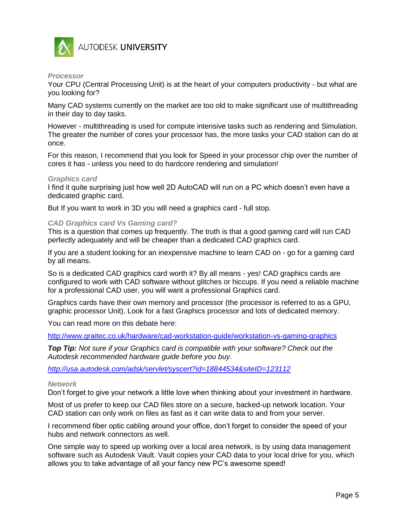

## *Processor*

Your CPU (Central Processing Unit) is at the heart of your computers productivity - but what are you looking for?

Many CAD systems currently on the market are too old to make significant use of multithreading in their day to day tasks.

However - multithreading is used for compute intensive tasks such as rendering and Simulation. The greater the number of cores your processor has, the more tasks your CAD station can do at once.

For this reason, I recommend that you look for Speed in your processor chip over the number of cores it has - unless you need to do hardcore rendering and simulation!

## *Graphics card*

I find it quite surprising just how well 2D AutoCAD will run on a PC which doesn't even have a dedicated graphic card.

But If you want to work in 3D you will need a graphics card - full stop.

## *CAD Graphics card Vs Gaming card?*

This is a question that comes up frequently. The truth is that a good gaming card will run CAD perfectly adequately and will be cheaper than a dedicated CAD graphics card.

If you are a student looking for an inexpensive machine to learn CAD on - go for a gaming card by all means.

So is a dedicated CAD graphics card worth it? By all means - yes! CAD graphics cards are configured to work with CAD software without glitches or hiccups. If you need a reliable machine for a professional CAD user, you will want a professional Graphics card.

Graphics cards have their own memory and processor (the processor is referred to as a GPU, graphic processor Unit). Look for a fast Graphics processor and lots of dedicated memory.

You can read more on this debate here:

<http://www.graitec.co.uk/hardware/cad-workstation-guide/workstation-vs-gaming-graphics>

*Top Tip: Not sure if your Graphics card is compatible with your software? Check out the Autodesk recommended hardware guide before you buy.*

*<http://usa.autodesk.com/adsk/servlet/syscert?id=18844534&siteID=123112>*

#### *Network*

Don't forget to give your network a little love when thinking about your investment in hardware.

Most of us prefer to keep our CAD files store on a secure, backed-up network location. Your CAD station can only work on files as fast as it can write data to and from your server.

I recommend fiber optic cabling around your office, don't forget to consider the speed of your hubs and network connectors as well.

One simple way to speed up working over a local area network, is by using data management software such as Autodesk Vault. Vault copies your CAD data to your local drive for you, which allows you to take advantage of all your fancy new PC's awesome speed!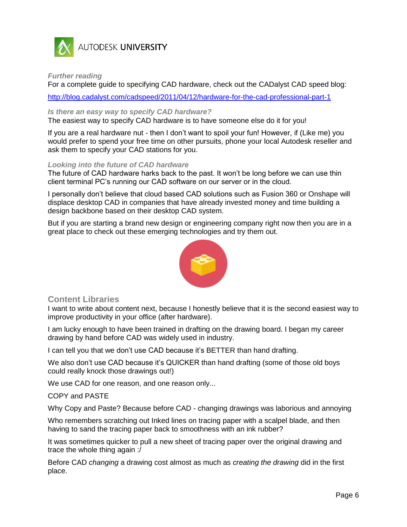

# AUTODESK UNIVERSITY

*Further reading*

For a complete guide to specifying CAD hardware, check out the CADalyst CAD speed blog:

<http://blog.cadalyst.com/cadspeed/2011/04/12/hardware-for-the-cad-professional-part-1>

## *Is there an easy way to specify CAD hardware?*

The easiest way to specify CAD hardware is to have someone else do it for you!

If you are a real hardware nut - then I don't want to spoil your fun! However, if (Like me) you would prefer to spend your free time on other pursuits, phone your local Autodesk reseller and ask them to specify your CAD stations for you.

## *Looking into the future of CAD hardware*

The future of CAD hardware harks back to the past. It won't be long before we can use thin client terminal PC's running our CAD software on our server or in the cloud.

I personally don't believe that cloud based CAD solutions such as Fusion 360 or Onshape will displace desktop CAD in companies that have already invested money and time building a design backbone based on their desktop CAD system.

But if you are starting a brand new design or engineering company right now then you are in a great place to check out these emerging technologies and try them out.



# **Content Libraries**

I want to write about content next, because I honestly believe that it is the second easiest way to improve productivity in your office (after hardware).

I am lucky enough to have been trained in drafting on the drawing board. I began my career drawing by hand before CAD was widely used in industry.

I can tell you that we don't use CAD because it's BETTER than hand drafting.

We also don't use CAD because it's QUICKER than hand drafting (some of those old boys could really knock those drawings out!)

We use CAD for one reason, and one reason only...

## COPY and PASTE

Why Copy and Paste? Because before CAD - changing drawings was laborious and annoying

Who remembers scratching out Inked lines on tracing paper with a scalpel blade, and then having to sand the tracing paper back to smoothness with an ink rubber?

It was sometimes quicker to pull a new sheet of tracing paper over the original drawing and trace the whole thing again :/

Before CAD *changing* a drawing cost almost as much as *creating the drawing* did in the first place.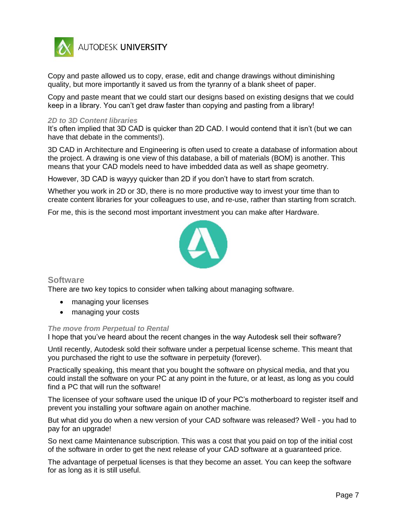

Copy and paste allowed us to copy, erase, edit and change drawings without diminishing quality, but more importantly it saved us from the tyranny of a blank sheet of paper.

Copy and paste meant that we could start our designs based on existing designs that we could keep in a library. You can't get draw faster than copying and pasting from a library!

#### *2D to 3D Content libraries*

It's often implied that 3D CAD is quicker than 2D CAD. I would contend that it isn't (but we can have that debate in the comments!).

3D CAD in Architecture and Engineering is often used to create a database of information about the project. A drawing is one view of this database, a bill of materials (BOM) is another. This means that your CAD models need to have imbedded data as well as shape geometry.

However, 3D CAD is wayyy quicker than 2D if you don't have to start from scratch.

Whether you work in 2D or 3D, there is no more productive way to invest your time than to create content libraries for your colleagues to use, and re-use, rather than starting from scratch.

For me, this is the second most important investment you can make after Hardware.



# **Software**

There are two key topics to consider when talking about managing software.

- managing your licenses
- managing your costs

#### *The move from Perpetual to Rental*

I hope that you've heard about the recent changes in the way Autodesk sell their software?

Until recently, Autodesk sold their software under a perpetual license scheme. This meant that you purchased the right to use the software in perpetuity (forever).

Practically speaking, this meant that you bought the software on physical media, and that you could install the software on your PC at any point in the future, or at least, as long as you could find a PC that will run the software!

The licensee of your software used the unique ID of your PC's motherboard to register itself and prevent you installing your software again on another machine.

But what did you do when a new version of your CAD software was released? Well - you had to pay for an upgrade!

So next came Maintenance subscription. This was a cost that you paid on top of the initial cost of the software in order to get the next release of your CAD software at a guaranteed price.

The advantage of perpetual licenses is that they become an asset. You can keep the software for as long as it is still useful.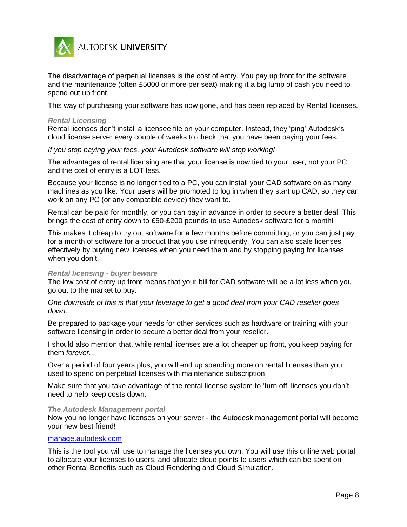

The disadvantage of perpetual licenses is the cost of entry. You pay up front for the software and the maintenance (often £5000 or more per seat) making it a big lump of cash you need to spend out up front.

This way of purchasing your software has now gone, and has been replaced by Rental licenses.

#### *Rental Licensing*

Rental licenses don't install a licensee file on your computer. Instead, they 'ping' Autodesk's cloud license server every couple of weeks to check that you have been paying your fees.

*If you stop paying your fees, your Autodesk software will stop working!*

The advantages of rental licensing are that your license is now tied to your user, not your PC and the cost of entry is a LOT less.

Because your license is no longer tied to a PC, you can install your CAD software on as many machines as you like. Your users will be promoted to log in when they start up CAD, so they can work on any PC (or any compatible device) they want to.

Rental can be paid for monthly, or you can pay in advance in order to secure a better deal. This brings the cost of entry down to £50-£200 pounds to use Autodesk software for a month!

This makes it cheap to try out software for a few months before committing, or you can just pay for a month of software for a product that you use infrequently. You can also scale licenses effectively by buying new licenses when you need them and by stopping paying for licenses when you don't.

#### *Rental licensing - buyer beware*

The low cost of entry up front means that your bill for CAD software will be a lot less when you go out to the market to buy.

*One downside of this is that your leverage to get a good deal from your CAD reseller goes down*.

Be prepared to package your needs for other services such as hardware or training with your software licensing in order to secure a better deal from your reseller.

I should also mention that, while rental licenses are a lot cheaper up front, you keep paying for them *forever*...

Over a period of four years plus, you will end up spending more on rental licenses than you used to spend on perpetual licenses with maintenance subscription.

Make sure that you take advantage of the rental license system to 'turn off' licenses you don't need to help keep costs down.

#### *The Autodesk Management portal*

Now you no longer have licenses on your server - the Autodesk management portal will become your new best friend!

## [manage.autodesk.com](file:///C:/Users/Paul.Munford/Dropbox/AU%202016/Templates/manage.autodesk.com)

This is the tool you will use to manage the licenses you own. You will use this online web portal to allocate your licenses to users, and allocate cloud points to users which can be spent on other Rental Benefits such as Cloud Rendering and Cloud Simulation.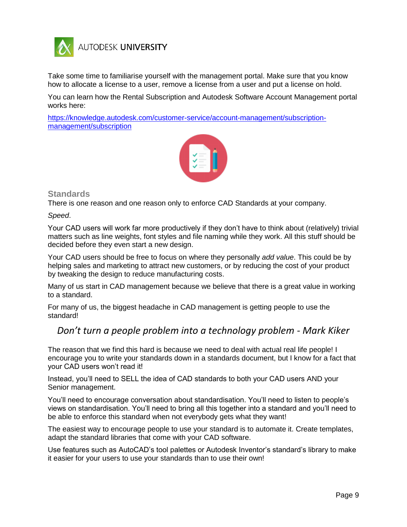

Take some time to familiarise yourself with the management portal. Make sure that you know how to allocate a license to a user, remove a license from a user and put a license on hold.

You can learn how the Rental Subscription and Autodesk Software Account Management portal works here:

[https://knowledge.autodesk.com/customer-service/account-management/subscription](https://knowledge.autodesk.com/customer-service/account-management/subscription-management/subscription)[management/subscription](https://knowledge.autodesk.com/customer-service/account-management/subscription-management/subscription)



# **Standards**

There is one reason and one reason only to enforce CAD Standards at your company.

*Speed*.

Your CAD users will work far more productively if they don't have to think about (relatively) trivial matters such as line weights, font styles and file naming while they work. All this stuff should be decided before they even start a new design.

Your CAD users should be free to focus on where they personally *add value*. This could be by helping sales and marketing to attract new customers, or by reducing the cost of your product by tweaking the design to reduce manufacturing costs.

Many of us start in CAD management because we believe that there is a great value in working to a standard.

For many of us, the biggest headache in CAD management is getting people to use the standard!

# *Don't turn a people problem into a technology problem - Mark Kiker*

The reason that we find this hard is because we need to deal with actual real life people! I encourage you to write your standards down in a standards document, but I know for a fact that your CAD users won't read it!

Instead, you'll need to SELL the idea of CAD standards to both your CAD users AND your Senior management.

You'll need to encourage conversation about standardisation. You'll need to listen to people's views on standardisation. You'll need to bring all this together into a standard and you'll need to be able to enforce this standard when not everybody gets what they want!

The easiest way to encourage people to use your standard is to automate it. Create templates, adapt the standard libraries that come with your CAD software.

Use features such as AutoCAD's tool palettes or Autodesk Inventor's standard's library to make it easier for your users to use your standards than to use their own!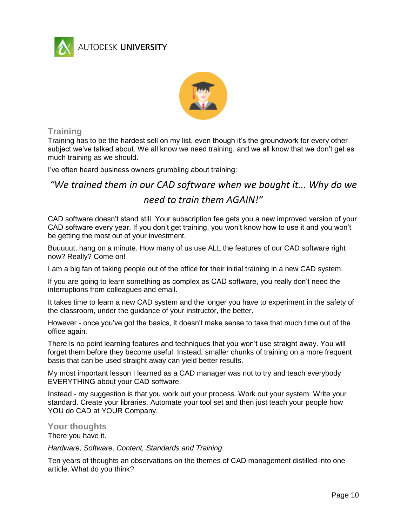

AUTODESK UNIVERSITY



# **Training**

Training has to be the hardest sell on my list, even though it's the groundwork for every other subject we've talked about. We all know we need training, and we all know that we don't get as much training as we should.

I've often heard business owners grumbling about training:

*"We trained them in our CAD software when we bought it... Why do we need to train them AGAIN!"*

CAD software doesn't stand still. Your subscription fee gets you a new improved version of your CAD software every year. If you don't get training, you won't know how to use it and you won't be getting the most out of your investment.

Buuuuut, hang on a minute. How many of us use ALL the features of our CAD software right now? Really? Come on!

I am a big fan of taking people out of the office for their initial training in a new CAD system.

If you are going to learn something as complex as CAD software, you really don't need the interruptions from colleagues and email.

It takes time to learn a new CAD system and the longer you have to experiment in the safety of the classroom, under the guidance of your instructor, the better.

However - once you've got the basics, it doesn't make sense to take that much time out of the office again.

There is no point learning features and techniques that you won't use straight away. You will forget them before they become useful. Instead, smaller chunks of training on a more frequent basis that can be used straight away can yield better results.

My most important lesson I learned as a CAD manager was not to try and teach everybody EVERYTHING about your CAD software.

Instead - my suggestion is that you work out your process. Work out your system. Write your standard. Create your libraries. Automate your tool set and then just teach your people how YOU do CAD at YOUR Company.

# **Your thoughts**

There you have it.

*Hardware, Software, Content, Standards and Training.*

Ten years of thoughts an observations on the themes of CAD management distilled into one article. What do you think?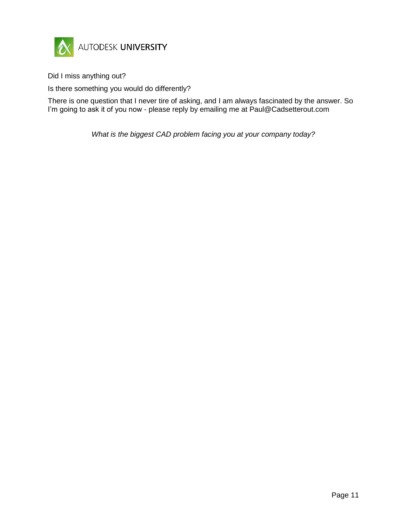

Did I miss anything out?

Is there something you would do differently?

There is one question that I never tire of asking, and I am always fascinated by the answer. So I'm going to ask it of you now - please reply by emailing me at Paul@Cadsetterout.com

*What is the biggest CAD problem facing you at your company today?*